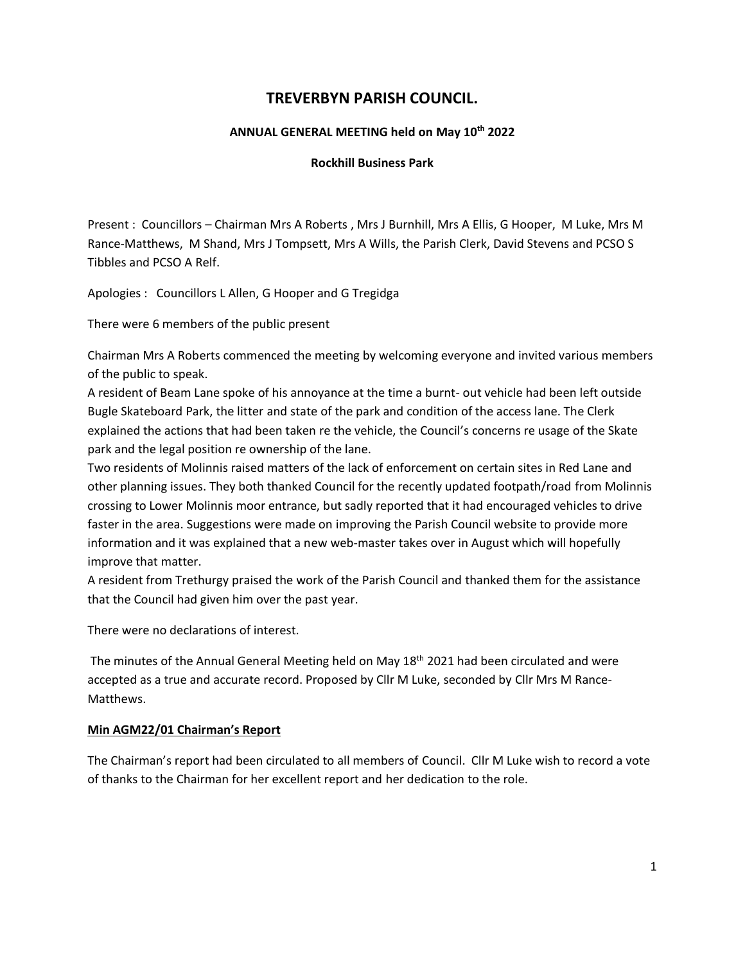# **TREVERBYN PARISH COUNCIL.**

## **ANNUAL GENERAL MEETING held on May 10 th 2022**

## **Rockhill Business Park**

Present : Councillors – Chairman Mrs A Roberts , Mrs J Burnhill, Mrs A Ellis, G Hooper, M Luke, Mrs M Rance-Matthews, M Shand, Mrs J Tompsett, Mrs A Wills, the Parish Clerk, David Stevens and PCSO S Tibbles and PCSO A Relf.

Apologies : Councillors L Allen, G Hooper and G Tregidga

There were 6 members of the public present

Chairman Mrs A Roberts commenced the meeting by welcoming everyone and invited various members of the public to speak.

A resident of Beam Lane spoke of his annoyance at the time a burnt- out vehicle had been left outside Bugle Skateboard Park, the litter and state of the park and condition of the access lane. The Clerk explained the actions that had been taken re the vehicle, the Council's concerns re usage of the Skate park and the legal position re ownership of the lane.

Two residents of Molinnis raised matters of the lack of enforcement on certain sites in Red Lane and other planning issues. They both thanked Council for the recently updated footpath/road from Molinnis crossing to Lower Molinnis moor entrance, but sadly reported that it had encouraged vehicles to drive faster in the area. Suggestions were made on improving the Parish Council website to provide more information and it was explained that a new web-master takes over in August which will hopefully improve that matter.

A resident from Trethurgy praised the work of the Parish Council and thanked them for the assistance that the Council had given him over the past year.

There were no declarations of interest.

The minutes of the Annual General Meeting held on May 18<sup>th</sup> 2021 had been circulated and were accepted as a true and accurate record. Proposed by Cllr M Luke, seconded by Cllr Mrs M Rance-Matthews.

## **Min AGM22/01 Chairman's Report**

The Chairman's report had been circulated to all members of Council. Cllr M Luke wish to record a vote of thanks to the Chairman for her excellent report and her dedication to the role.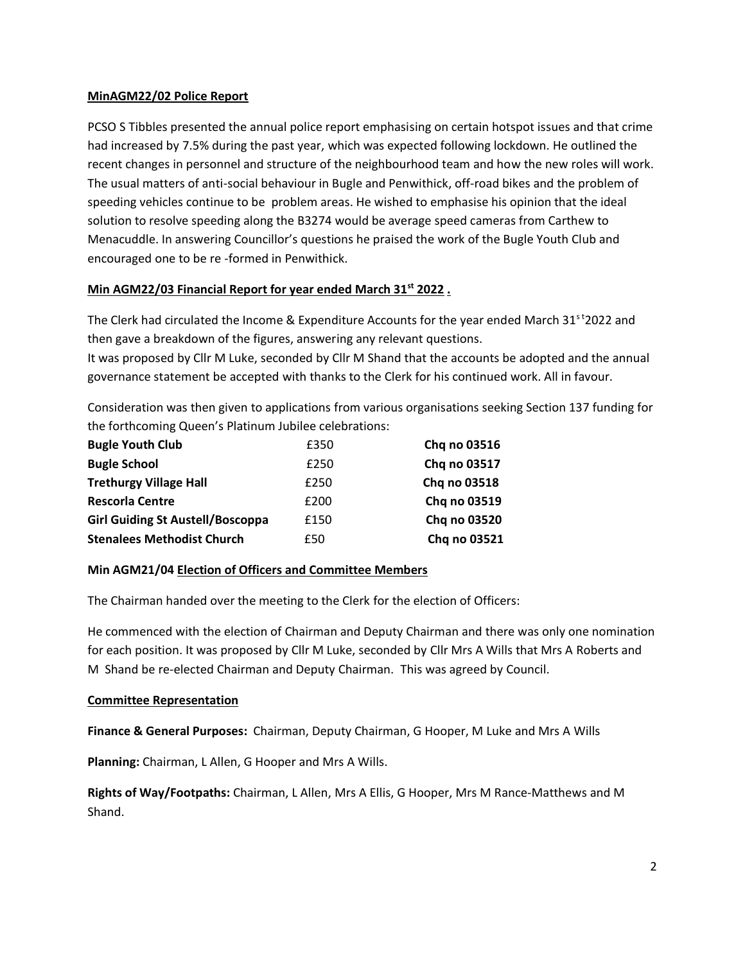## **MinAGM22/02 Police Report**

PCSO S Tibbles presented the annual police report emphasising on certain hotspot issues and that crime had increased by 7.5% during the past year, which was expected following lockdown. He outlined the recent changes in personnel and structure of the neighbourhood team and how the new roles will work. The usual matters of anti-social behaviour in Bugle and Penwithick, off-road bikes and the problem of speeding vehicles continue to be problem areas. He wished to emphasise his opinion that the ideal solution to resolve speeding along the B3274 would be average speed cameras from Carthew to Menacuddle. In answering Councillor's questions he praised the work of the Bugle Youth Club and encouraged one to be re -formed in Penwithick.

## **Min AGM22/03 Financial Report for year ended March 31st 2022 .**

The Clerk had circulated the Income & Expenditure Accounts for the year ended March 31<sup>st</sup>2022 and then gave a breakdown of the figures, answering any relevant questions. It was proposed by Cllr M Luke, seconded by Cllr M Shand that the accounts be adopted and the annual governance statement be accepted with thanks to the Clerk for his continued work. All in favour.

Consideration was then given to applications from various organisations seeking Section 137 funding for the forthcoming Queen's Platinum Jubilee celebrations:

| <b>Bugle Youth Club</b>                 | £350 | Chq no 03516 |
|-----------------------------------------|------|--------------|
| <b>Bugle School</b>                     | £250 | Chq no 03517 |
| <b>Trethurgy Village Hall</b>           | £250 | Chq no 03518 |
| <b>Rescorla Centre</b>                  | £200 | Chq no 03519 |
| <b>Girl Guiding St Austell/Boscoppa</b> | £150 | Chq no 03520 |
| <b>Stenalees Methodist Church</b>       | £50  | Chq no 03521 |

## **Min AGM21/04 Election of Officers and Committee Members**

The Chairman handed over the meeting to the Clerk for the election of Officers:

He commenced with the election of Chairman and Deputy Chairman and there was only one nomination for each position. It was proposed by Cllr M Luke, seconded by Cllr Mrs A Wills that Mrs A Roberts and M Shand be re-elected Chairman and Deputy Chairman. This was agreed by Council.

## **Committee Representation**

**Finance & General Purposes:** Chairman, Deputy Chairman, G Hooper, M Luke and Mrs A Wills

**Planning:** Chairman, L Allen, G Hooper and Mrs A Wills.

**Rights of Way/Footpaths:** Chairman, L Allen, Mrs A Ellis, G Hooper, Mrs M Rance-Matthews and M Shand.